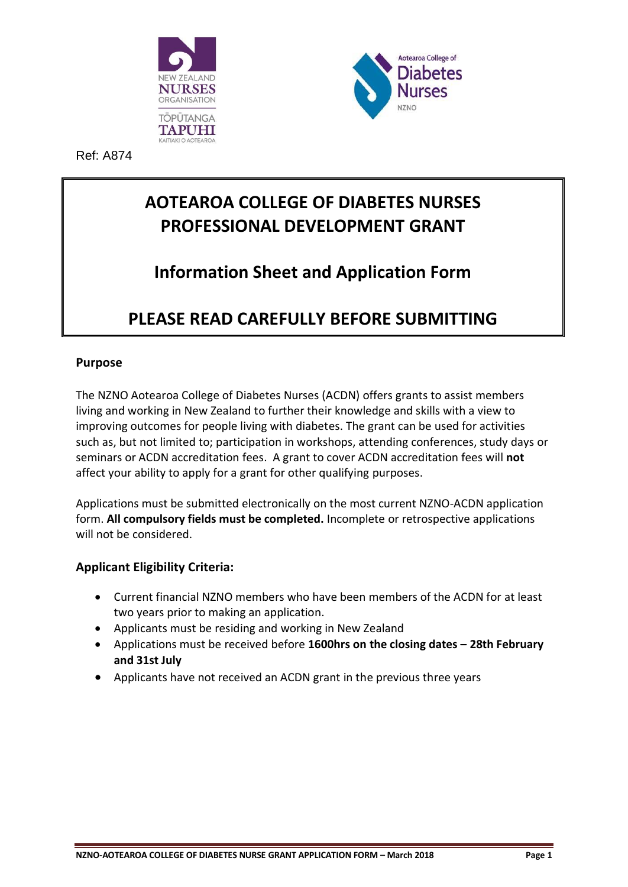



Ref: A874

# **AOTEAROA COLLEGE OF DIABETES NURSES PROFESSIONAL DEVELOPMENT GRANT**

# **Information Sheet and Application Form**

### **PLEASE READ CAREFULLY BEFORE SUBMITTING**

### **Purpose**

The NZNO Aotearoa College of Diabetes Nurses (ACDN) offers grants to assist members living and working in New Zealand to further their knowledge and skills with a view to improving outcomes for people living with diabetes. The grant can be used for activities such as, but not limited to; participation in workshops, attending conferences, study days or seminars or ACDN accreditation fees. A grant to cover ACDN accreditation fees will **not** affect your ability to apply for a grant for other qualifying purposes.

Applications must be submitted electronically on the most current NZNO-ACDN application form. **All compulsory fields must be completed.** Incomplete or retrospective applications will not be considered.

#### **Applicant Eligibility Criteria:**

- Current financial NZNO members who have been members of the ACDN for at least two years prior to making an application.
- Applicants must be residing and working in New Zealand
- Applications must be received before **1600hrs on the closing dates – 28th February and 31st July**
- Applicants have not received an ACDN grant in the previous three years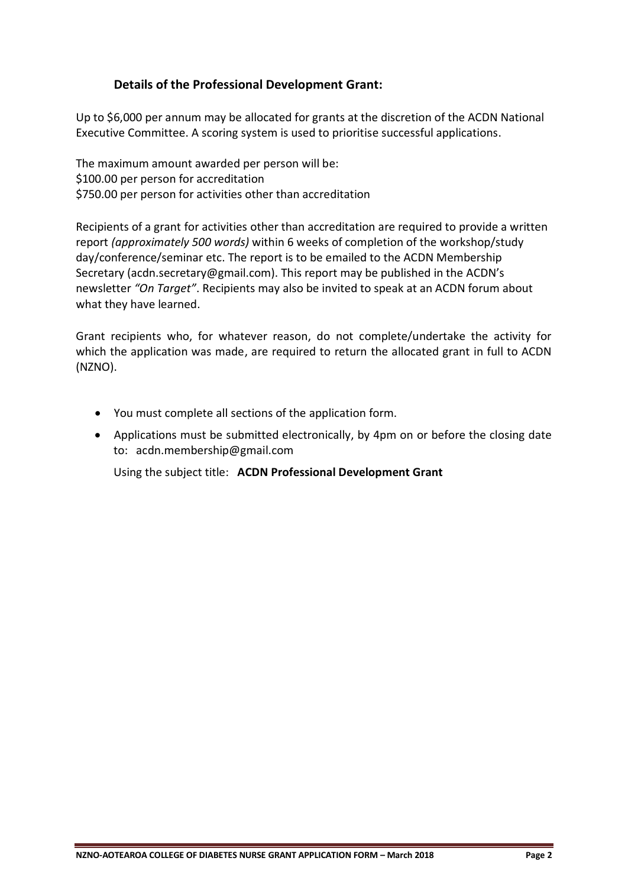#### **Details of the Professional Development Grant:**

Up to \$6,000 per annum may be allocated for grants at the discretion of the ACDN National Executive Committee. A scoring system is used to prioritise successful applications.

The maximum amount awarded per person will be: \$100.00 per person for accreditation \$750.00 per person for activities other than accreditation

Recipients of a grant for activities other than accreditation are required to provide a written report *(approximately 500 words)* within 6 weeks of completion of the workshop/study day/conference/seminar etc. The report is to be emailed to the ACDN Membership Secretary (acdn.secretary@gmail.com). This report may be published in the ACDN's newsletter *"On Target"*. Recipients may also be invited to speak at an ACDN forum about what they have learned.

Grant recipients who, for whatever reason, do not complete/undertake the activity for which the application was made, are required to return the allocated grant in full to ACDN (NZNO).

- You must complete all sections of the application form.
- Applications must be submitted electronically, by 4pm on or before the closing date to: acdn.membership@gmail.com

Using the subject title: **ACDN Professional Development Grant**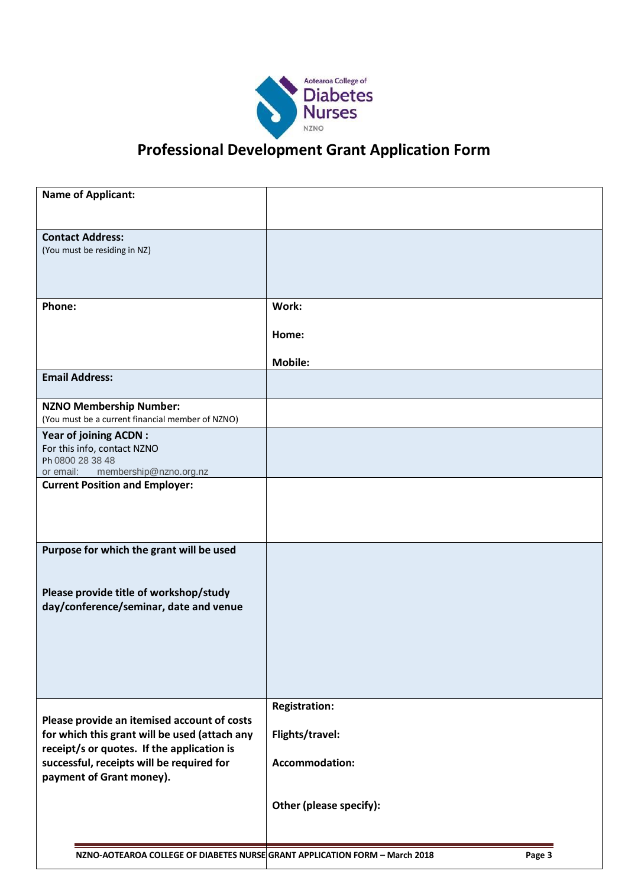

# **Professional Development Grant Application Form**

| <b>Name of Applicant:</b>                                                                                                                                                                                           |                                                                  |        |
|---------------------------------------------------------------------------------------------------------------------------------------------------------------------------------------------------------------------|------------------------------------------------------------------|--------|
| <b>Contact Address:</b><br>(You must be residing in NZ)                                                                                                                                                             |                                                                  |        |
| Phone:                                                                                                                                                                                                              | Work:<br>Home:                                                   |        |
| <b>Email Address:</b>                                                                                                                                                                                               | <b>Mobile:</b>                                                   |        |
| <b>NZNO Membership Number:</b><br>(You must be a current financial member of NZNO)                                                                                                                                  |                                                                  |        |
| <b>Year of joining ACDN:</b><br>For this info, contact NZNO<br>Ph 0800 28 38 48<br>membership@nzno.org.nz<br>or email:                                                                                              |                                                                  |        |
| <b>Current Position and Employer:</b>                                                                                                                                                                               |                                                                  |        |
| Purpose for which the grant will be used<br>Please provide title of workshop/study<br>day/conference/seminar, date and venue                                                                                        |                                                                  |        |
| Please provide an itemised account of costs<br>for which this grant will be used (attach any<br>receipt/s or quotes. If the application is<br>successful, receipts will be required for<br>payment of Grant money). | <b>Registration:</b><br>Flights/travel:<br><b>Accommodation:</b> |        |
|                                                                                                                                                                                                                     | Other (please specify):                                          |        |
| NZNO-AOTEAROA COLLEGE OF DIABETES NURSE GRANT APPLICATION FORM - March 2018                                                                                                                                         |                                                                  | Page 3 |